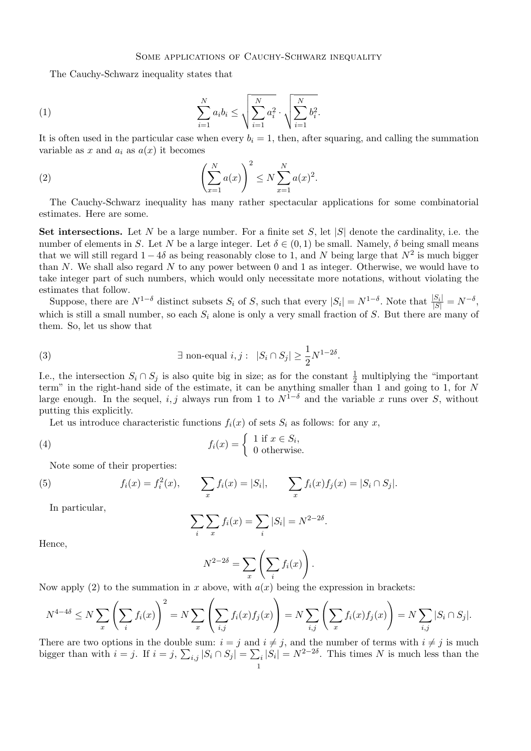## SOME APPLICATIONS OF CAUCHY-SCHWARZ INEQUALITY

The Cauchy-Schwarz inequality states that

(1) 
$$
\sum_{i=1}^{N} a_i b_i \le \sqrt{\sum_{i=1}^{N} a_i^2} \cdot \sqrt{\sum_{i=1}^{N} b_i^2}.
$$

It is often used in the particular case when every  $b_i = 1$ , then, after squaring, and calling the summation variable as  $x$  and  $a_i$  as  $a(x)$  it becomes

(2) 
$$
\left(\sum_{x=1}^{N} a(x)\right)^2 \le N \sum_{x=1}^{N} a(x)^2.
$$

The Cauchy-Schwarz inequality has many rather spectacular applications for some combinatorial estimates. Here are some.

**Set intersections.** Let *N* be a large number. For a finite set *S*, let *|S|* denote the cardinality, i.e. the number of elements in *S*. Let *N* be a large integer. Let  $\delta \in (0,1)$  be small. Namely,  $\delta$  being small means that we will still regard  $1 - 4\delta$  as being reasonably close to 1, and *N* being large that  $N^2$  is much bigger than *N*. We shall also regard *N* to any power between 0 and 1 as integer. Otherwise, we would have to take integer part of such numbers, which would only necessitate more notations, without violating the estimates that follow.

Suppose, there are  $N^{1-\delta}$  distinct subsets  $S_i$  of  $S$ , such that every  $|S_i| = N^{1-\delta}$ . Note that  $\frac{|S_i|}{|S|} = N^{-\delta}$ . which is still a small number, so each *S<sup>i</sup>* alone is only a very small fraction of *S*. But there are many of them. So, let us show that

(3) 
$$
\exists \text{ non-equal } i,j: |S_i \cap S_j| \geq \frac{1}{2} N^{1-2\delta}.
$$

I.e., the intersection  $S_i \cap S_j$  is also quite big in size; as for the constant  $\frac{1}{2}$  multiplying the "important" term" in the right-hand side of the estimate, it can be anything smaller than 1 and going to 1, for *N* large enough. In the sequel, *i, j* always run from 1 to  $N^{1-\delta}$  and the variable *x* runs over *S*, without putting this explicitly.

Let us introduce characteristic functions  $f_i(x)$  of sets  $S_i$  as follows: for any  $x$ ,

(4) 
$$
f_i(x) = \begin{cases} 1 \text{ if } x \in S_i, \\ 0 \text{ otherwise.} \end{cases}
$$

Note some of their properties:

(5) 
$$
f_i(x) = f_i^2(x), \qquad \sum_x f_i(x) = |S_i|, \qquad \sum_x f_i(x) f_j(x) = |S_i \cap S_j|.
$$

In particular,

$$
\sum_{i} \sum_{x} f_i(x) = \sum_{i} |S_i| = N^{2-2\delta}.
$$

Hence,

$$
N^{2-2\delta} = \sum_{x} \left( \sum_{i} f_i(x) \right).
$$

Now apply (2) to the summation in *x* above, with  $a(x)$  being the expression in brackets:

$$
N^{4-4\delta} \le N \sum_{x} \left( \sum_{i} f_i(x) \right)^2 = N \sum_{x} \left( \sum_{i,j} f_i(x) f_j(x) \right) = N \sum_{i,j} \left( \sum_{x} f_i(x) f_j(x) \right) = N \sum_{i,j} |S_i \cap S_j|.
$$

There are two options in the double sum:  $i = j$  and  $i \neq j$ , and the number of terms with  $i \neq j$  is much bigger than with  $i = j$ . If  $i = j$ ,  $\sum_{i,j} |S_i \cap S_j| = \sum_i |S_i| = N^{2-2\delta}$ . This times N is much less than the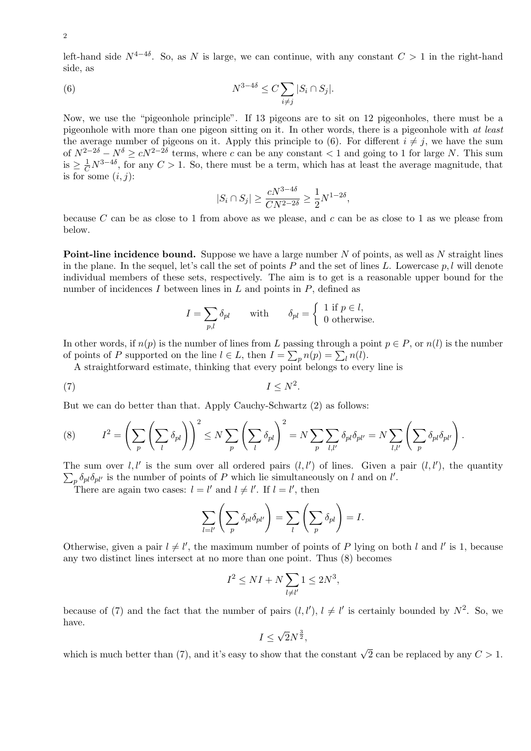2

left-hand side  $N^{4-4\delta}$ . So, as *N* is large, we can continue, with any constant  $C > 1$  in the right-hand side, as

(6) 
$$
N^{3-4\delta} \leq C \sum_{i \neq j} |S_i \cap S_j|.
$$

Now, we use the "pigeonhole principle". If 13 pigeons are to sit on 12 pigeonholes, there must be a pigeonhole with more than one pigeon sitting on it. In other words, there is a pigeonhole with *at least* the average number of pigeons on it. Apply this principle to (6). For different  $i \neq j$ , we have the sum of  $N^{2-2\delta} - N^{\delta} \ge cN^{2-2\delta}$  terms, where *c* can be any constant < 1 and going to 1 for large *N*. This sum is  $\geq \frac{1}{C} N^{3-4\delta}$ , for any *C* > 1. So, there must be a term, which has at least the average magnitude, that is for some  $(i, j)$ :

$$
|S_i \cap S_j| \ge \frac{cN^{3-4\delta}}{CN^{2-2\delta}} \ge \frac{1}{2}N^{1-2\delta},
$$

because *C* can be as close to 1 from above as we please, and *c* can be as close to 1 as we please from below.

**Point-line incidence bound.** Suppose we have a large number *N* of points, as well as *N* straight lines in the plane. In the sequel, let's call the set of points *P* and the set of lines *L*. Lowercase *p, l* will denote individual members of these sets, respectively. The aim is to get is a reasonable upper bound for the number of incidences *I* between lines in *L* and points in *P*, defined as

$$
I = \sum_{p,l} \delta_{pl} \quad \text{with} \quad \delta_{pl} = \begin{cases} 1 \text{ if } p \in l, \\ 0 \text{ otherwise.} \end{cases}
$$

In other words, if  $n(p)$  is the number of lines from *L* passing through a point  $p \in P$ , or  $n(l)$  is the number of points of *P* supported on the line  $l \in L$ , then  $I = \sum_{p} n(p) = \sum_{l} n(l)$ .

A straightforward estimate, thinking that every point belongs to every line is

$$
(7) \t\t I \leq N^2.
$$

But we can do better than that. Apply Cauchy-Schwartz (2) as follows:

(8) 
$$
I^{2} = \left(\sum_{p} \left(\sum_{l} \delta_{pl}\right)\right)^{2} \leq N \sum_{p} \left(\sum_{l} \delta_{pl}\right)^{2} = N \sum_{p} \sum_{l,l'} \delta_{pl} \delta_{pl'} = N \sum_{l,l'} \left(\sum_{p} \delta_{pl} \delta_{pl'}\right).
$$

The sum over  $l, l'$  is the sum over all ordered pairs  $(l, l')$  of lines. Given a pair  $(l, l')$ , the quantity  $\sum_{p} \delta_{pl} \delta_{pl'}$  is the number of points of *P* which lie simultaneously on *l* and on *l'*.

There are again two cases:  $l = l'$  and  $l \neq l'$ . If  $l = l'$ , then

$$
\sum_{l=l'} \left( \sum_p \delta_{pl} \delta_{pl'} \right) = \sum_l \left( \sum_p \delta_{pl} \right) = I.
$$

Otherwise, given a pair  $l \neq l'$ , the maximum number of points of *P* lying on both *l* and *l'* is 1, because any two distinct lines intersect at no more than one point. Thus (8) becomes

$$
I^2 \le NI + N \sum_{l \ne l'} 1 \le 2N^3,
$$

because of (7) and the fact that the number of pairs  $(l, l')$ ,  $l \neq l'$  is certainly bounded by  $N^2$ . So, we have.

$$
I\leq \sqrt{2}N^{\frac{3}{2}},
$$

which is much better than (7), and it's easy to show that the constant  $\sqrt{2}$  can be replaced by any  $C > 1$ .